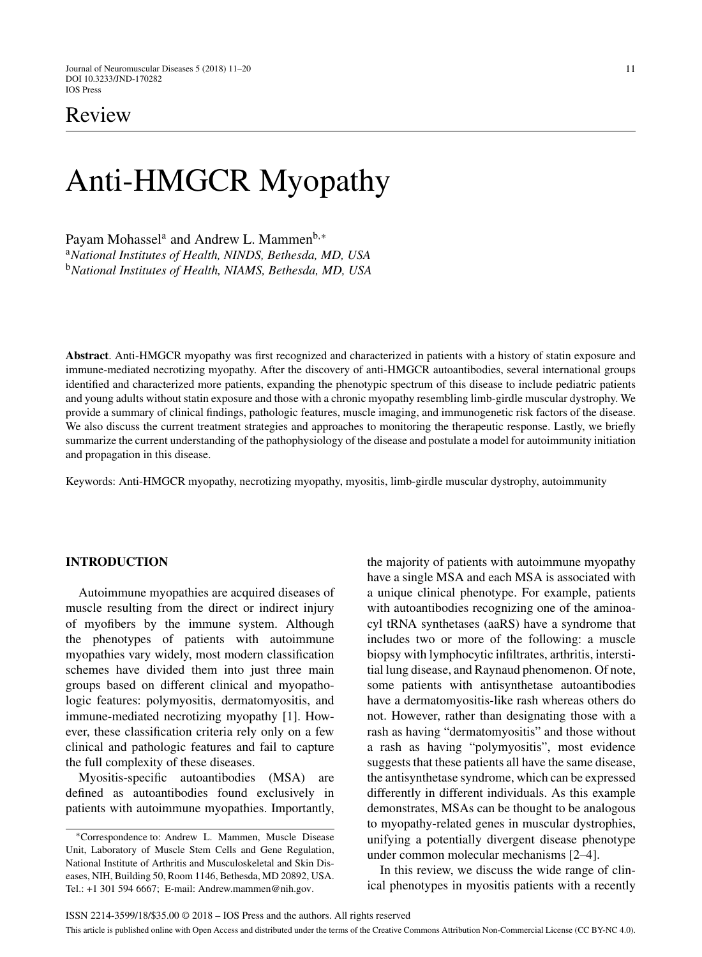# Review

# Anti-HMGCR Myopathy

Payam Mohassel<sup>a</sup> and Andrew L. Mammen<sup>b,∗</sup>

<sup>a</sup>*National Institutes of Health, NINDS, Bethesda, MD, USA* <sup>b</sup>*National Institutes of Health, NIAMS, Bethesda, MD, USA*

**Abstract**. Anti-HMGCR myopathy was first recognized and characterized in patients with a history of statin exposure and immune-mediated necrotizing myopathy. After the discovery of anti-HMGCR autoantibodies, several international groups identified and characterized more patients, expanding the phenotypic spectrum of this disease to include pediatric patients and young adults without statin exposure and those with a chronic myopathy resembling limb-girdle muscular dystrophy. We provide a summary of clinical findings, pathologic features, muscle imaging, and immunogenetic risk factors of the disease. We also discuss the current treatment strategies and approaches to monitoring the therapeutic response. Lastly, we briefly summarize the current understanding of the pathophysiology of the disease and postulate a model for autoimmunity initiation and propagation in this disease.

Keywords: Anti-HMGCR myopathy, necrotizing myopathy, myositis, limb-girdle muscular dystrophy, autoimmunity

# **INTRODUCTION**

Autoimmune myopathies are acquired diseases of muscle resulting from the direct or indirect injury of myofibers by the immune system. Although the phenotypes of patients with autoimmune myopathies vary widely, most modern classification schemes have divided them into just three main groups based on different clinical and myopathologic features: polymyositis, dermatomyositis, and immune-mediated necrotizing myopathy [1]. However, these classification criteria rely only on a few clinical and pathologic features and fail to capture the full complexity of these diseases.

Myositis-specific autoantibodies (MSA) are defined as autoantibodies found exclusively in patients with autoimmune myopathies. Importantly, the majority of patients with autoimmune myopathy have a single MSA and each MSA is associated with a unique clinical phenotype. For example, patients with autoantibodies recognizing one of the aminoacyl tRNA synthetases (aaRS) have a syndrome that includes two or more of the following: a muscle biopsy with lymphocytic infiltrates, arthritis, interstitial lung disease, and Raynaud phenomenon. Of note, some patients with antisynthetase autoantibodies have a dermatomyositis-like rash whereas others do not. However, rather than designating those with a rash as having "dermatomyositis" and those without a rash as having "polymyositis", most evidence suggests that these patients all have the same disease, the antisynthetase syndrome, which can be expressed differently in different individuals. As this example demonstrates, MSAs can be thought to be analogous to myopathy-related genes in muscular dystrophies, unifying a potentially divergent disease phenotype under common molecular mechanisms [2–4].

In this review, we discuss the wide range of clinical phenotypes in myositis patients with a recently

<sup>∗</sup>Correspondence to: Andrew L. Mammen, Muscle Disease Unit, Laboratory of Muscle Stem Cells and Gene Regulation, National Institute of Arthritis and Musculoskeletal and Skin Diseases, NIH, Building 50, Room 1146, Bethesda, MD 20892, USA. Tel.: +1 301 594 6667; E-mail: [Andrew.mammen@nih.gov.](mailto:Andrew.mammen@nih.gov)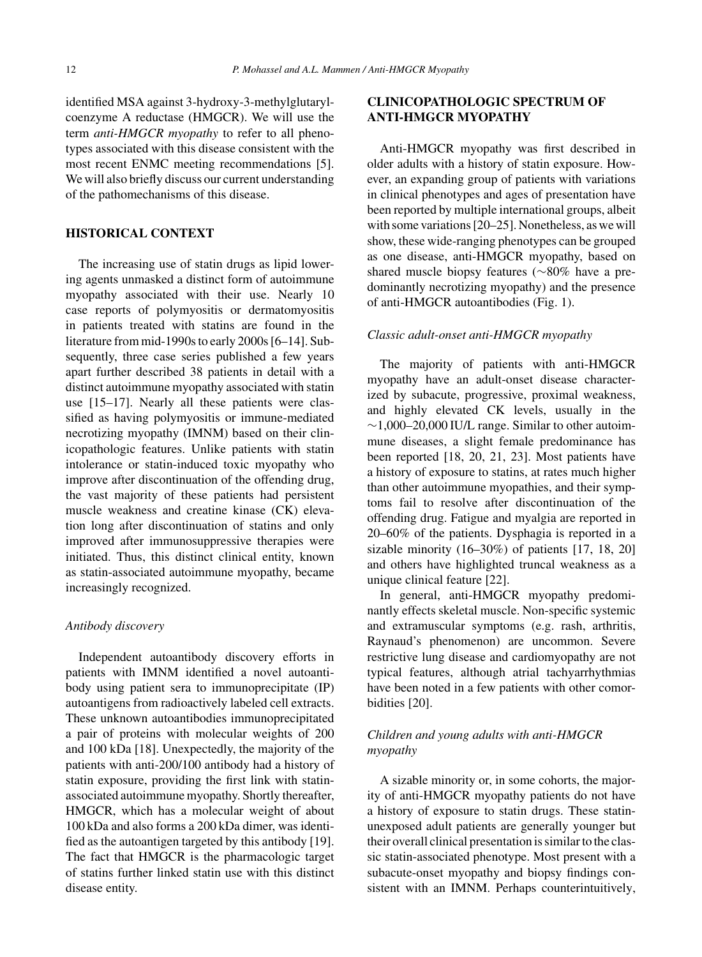identified MSA against 3-hydroxy-3-methylglutarylcoenzyme A reductase (HMGCR). We will use the term *anti-HMGCR myopathy* to refer to all phenotypes associated with this disease consistent with the most recent ENMC meeting recommendations [5]. We will also briefly discuss our current understanding of the pathomechanisms of this disease.

# **HISTORICAL CONTEXT**

The increasing use of statin drugs as lipid lowering agents unmasked a distinct form of autoimmune myopathy associated with their use. Nearly 10 case reports of polymyositis or dermatomyositis in patients treated with statins are found in the literature from mid-1990s to early 2000s [6–14]. Subsequently, three case series published a few years apart further described 38 patients in detail with a distinct autoimmune myopathy associated with statin use [15–17]. Nearly all these patients were classified as having polymyositis or immune-mediated necrotizing myopathy (IMNM) based on their clinicopathologic features. Unlike patients with statin intolerance or statin-induced toxic myopathy who improve after discontinuation of the offending drug, the vast majority of these patients had persistent muscle weakness and creatine kinase (CK) elevation long after discontinuation of statins and only improved after immunosuppressive therapies were initiated. Thus, this distinct clinical entity, known as statin-associated autoimmune myopathy, became increasingly recognized.

#### *Antibody discovery*

Independent autoantibody discovery efforts in patients with IMNM identified a novel autoantibody using patient sera to immunoprecipitate (IP) autoantigens from radioactively labeled cell extracts. These unknown autoantibodies immunoprecipitated a pair of proteins with molecular weights of 200 and 100 kDa [18]. Unexpectedly, the majority of the patients with anti-200/100 antibody had a history of statin exposure, providing the first link with statinassociated autoimmune myopathy. Shortly thereafter, HMGCR, which has a molecular weight of about 100 kDa and also forms a 200 kDa dimer, was identified as the autoantigen targeted by this antibody [19]. The fact that HMGCR is the pharmacologic target of statins further linked statin use with this distinct disease entity.

# **CLINICOPATHOLOGIC SPECTRUM OF ANTI-HMGCR MYOPATHY**

Anti-HMGCR myopathy was first described in older adults with a history of statin exposure. However, an expanding group of patients with variations in clinical phenotypes and ages of presentation have been reported by multiple international groups, albeit with some variations [20–25]. Nonetheless, as we will show, these wide-ranging phenotypes can be grouped as one disease, anti-HMGCR myopathy, based on shared muscle biopsy features (∼80% have a predominantly necrotizing myopathy) and the presence of anti-HMGCR autoantibodies (Fig. 1).

# *Classic adult-onset anti-HMGCR myopathy*

The majority of patients with anti-HMGCR myopathy have an adult-onset disease characterized by subacute, progressive, proximal weakness, and highly elevated CK levels, usually in the  $\sim$ 1,000–20,000 IU/L range. Similar to other autoimmune diseases, a slight female predominance has been reported [18, 20, 21, 23]. Most patients have a history of exposure to statins, at rates much higher than other autoimmune myopathies, and their symptoms fail to resolve after discontinuation of the offending drug. Fatigue and myalgia are reported in 20–60% of the patients. Dysphagia is reported in a sizable minority (16–30%) of patients [17, 18, 20] and others have highlighted truncal weakness as a unique clinical feature [22].

In general, anti-HMGCR myopathy predominantly effects skeletal muscle. Non-specific systemic and extramuscular symptoms (e.g. rash, arthritis, Raynaud's phenomenon) are uncommon. Severe restrictive lung disease and cardiomyopathy are not typical features, although atrial tachyarrhythmias have been noted in a few patients with other comorbidities [20].

# *Children and young adults with anti-HMGCR myopathy*

A sizable minority or, in some cohorts, the majority of anti-HMGCR myopathy patients do not have a history of exposure to statin drugs. These statinunexposed adult patients are generally younger but their overall clinical presentation is similar to the classic statin-associated phenotype. Most present with a subacute-onset myopathy and biopsy findings consistent with an IMNM. Perhaps counterintuitively,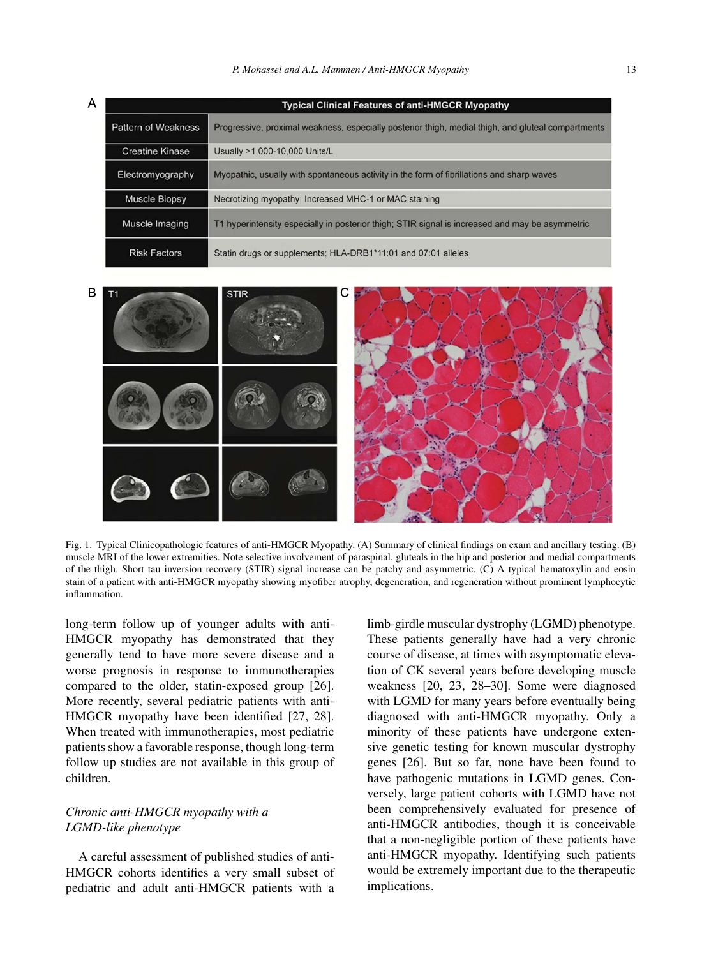| Α<br><b>Typical Clinical Features of anti-HMGCR Myopathy</b> |                                                                                                    |
|--------------------------------------------------------------|----------------------------------------------------------------------------------------------------|
| <b>Pattern of Weakness</b>                                   | Progressive, proximal weakness, especially posterior thigh, medial thigh, and gluteal compartments |
| <b>Creatine Kinase</b>                                       | Usually >1,000-10,000 Units/L                                                                      |
| Electromyography                                             | Myopathic, usually with spontaneous activity in the form of fibrillations and sharp waves          |
| <b>Muscle Biopsy</b>                                         | Necrotizing myopathy; Increased MHC-1 or MAC staining                                              |
| Muscle Imaging                                               | T1 hyperintensity especially in posterior thigh; STIR signal is increased and may be asymmetric    |
| <b>Risk Factors</b>                                          | Statin drugs or supplements; HLA-DRB1*11:01 and 07:01 alleles                                      |



Fig. 1. Typical Clinicopathologic features of anti-HMGCR Myopathy. (A) Summary of clinical findings on exam and ancillary testing. (B) muscle MRI of the lower extremities. Note selective involvement of paraspinal, gluteals in the hip and posterior and medial compartments of the thigh. Short tau inversion recovery (STIR) signal increase can be patchy and asymmetric. (C) A typical hematoxylin and eosin stain of a patient with anti-HMGCR myopathy showing myofiber atrophy, degeneration, and regeneration without prominent lymphocytic inflammation.

long-term follow up of younger adults with anti-HMGCR myopathy has demonstrated that they generally tend to have more severe disease and a worse prognosis in response to immunotherapies compared to the older, statin-exposed group [26]. More recently, several pediatric patients with anti-HMGCR myopathy have been identified [27, 28]. When treated with immunotherapies, most pediatric patients show a favorable response, though long-term follow up studies are not available in this group of children.

# *Chronic anti-HMGCR myopathy with a LGMD-like phenotype*

A careful assessment of published studies of anti-HMGCR cohorts identifies a very small subset of pediatric and adult anti-HMGCR patients with a limb-girdle muscular dystrophy (LGMD) phenotype. These patients generally have had a very chronic course of disease, at times with asymptomatic elevation of CK several years before developing muscle weakness [20, 23, 28–30]. Some were diagnosed with LGMD for many years before eventually being diagnosed with anti-HMGCR myopathy. Only a minority of these patients have undergone extensive genetic testing for known muscular dystrophy genes [26]. But so far, none have been found to have pathogenic mutations in LGMD genes. Conversely, large patient cohorts with LGMD have not been comprehensively evaluated for presence of anti-HMGCR antibodies, though it is conceivable that a non-negligible portion of these patients have anti-HMGCR myopathy. Identifying such patients would be extremely important due to the therapeutic implications.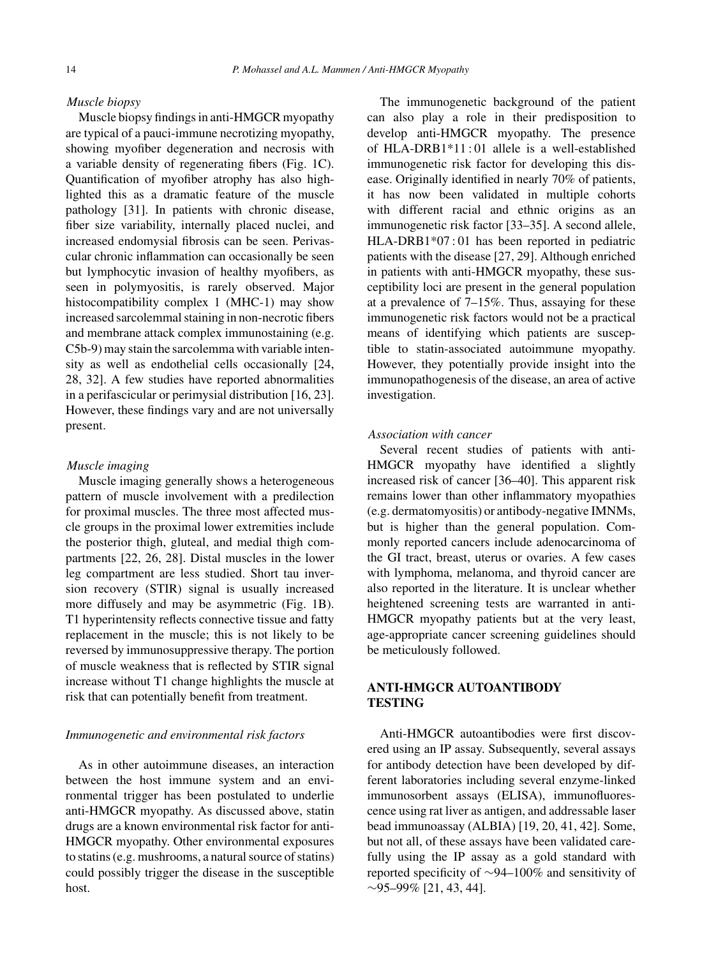#### *Muscle biopsy*

Muscle biopsy findings in anti-HMGCR myopathy are typical of a pauci-immune necrotizing myopathy, showing myofiber degeneration and necrosis with a variable density of regenerating fibers (Fig. 1C). Quantification of myofiber atrophy has also highlighted this as a dramatic feature of the muscle pathology [31]. In patients with chronic disease, fiber size variability, internally placed nuclei, and increased endomysial fibrosis can be seen. Perivascular chronic inflammation can occasionally be seen but lymphocytic invasion of healthy myofibers, as seen in polymyositis, is rarely observed. Major histocompatibility complex 1 (MHC-1) may show increased sarcolemmal staining in non-necrotic fibers and membrane attack complex immunostaining (e.g. C5b-9) may stain the sarcolemma with variable intensity as well as endothelial cells occasionally [24, 28, 32]. A few studies have reported abnormalities in a perifascicular or perimysial distribution [16, 23]. However, these findings vary and are not universally present.

# *Muscle imaging*

Muscle imaging generally shows a heterogeneous pattern of muscle involvement with a predilection for proximal muscles. The three most affected muscle groups in the proximal lower extremities include the posterior thigh, gluteal, and medial thigh compartments [22, 26, 28]. Distal muscles in the lower leg compartment are less studied. Short tau inversion recovery (STIR) signal is usually increased more diffusely and may be asymmetric (Fig. 1B). T1 hyperintensity reflects connective tissue and fatty replacement in the muscle; this is not likely to be reversed by immunosuppressive therapy. The portion of muscle weakness that is reflected by STIR signal increase without T1 change highlights the muscle at risk that can potentially benefit from treatment.

# *Immunogenetic and environmental risk factors*

As in other autoimmune diseases, an interaction between the host immune system and an environmental trigger has been postulated to underlie anti-HMGCR myopathy. As discussed above, statin drugs are a known environmental risk factor for anti-HMGCR myopathy. Other environmental exposures to statins (e.g. mushrooms, a natural source of statins) could possibly trigger the disease in the susceptible host.

The immunogenetic background of the patient can also play a role in their predisposition to develop anti-HMGCR myopathy. The presence of HLA-DRB1\*11 : 01 allele is a well-established immunogenetic risk factor for developing this disease. Originally identified in nearly 70% of patients, it has now been validated in multiple cohorts with different racial and ethnic origins as an immunogenetic risk factor [33–35]. A second allele, HLA-DRB1\*07 : 01 has been reported in pediatric patients with the disease [27, 29]. Although enriched in patients with anti-HMGCR myopathy, these susceptibility loci are present in the general population at a prevalence of 7–15%. Thus, assaying for these immunogenetic risk factors would not be a practical means of identifying which patients are susceptible to statin-associated autoimmune myopathy. However, they potentially provide insight into the immunopathogenesis of the disease, an area of active investigation.

#### *Association with cancer*

Several recent studies of patients with anti-HMGCR myopathy have identified a slightly increased risk of cancer [36–40]. This apparent risk remains lower than other inflammatory myopathies (e.g. dermatomyositis) or antibody-negative IMNMs, but is higher than the general population. Commonly reported cancers include adenocarcinoma of the GI tract, breast, uterus or ovaries. A few cases with lymphoma, melanoma, and thyroid cancer are also reported in the literature. It is unclear whether heightened screening tests are warranted in anti-HMGCR myopathy patients but at the very least, age-appropriate cancer screening guidelines should be meticulously followed.

# **ANTI-HMGCR AUTOANTIBODY TESTING**

Anti-HMGCR autoantibodies were first discovered using an IP assay. Subsequently, several assays for antibody detection have been developed by different laboratories including several enzyme-linked immunosorbent assays (ELISA), immunofluorescence using rat liver as antigen, and addressable laser bead immunoassay (ALBIA) [19, 20, 41, 42]. Some, but not all, of these assays have been validated carefully using the IP assay as a gold standard with reported specificity of ∼94–100% and sensitivity of ∼95–99% [21, 43, 44].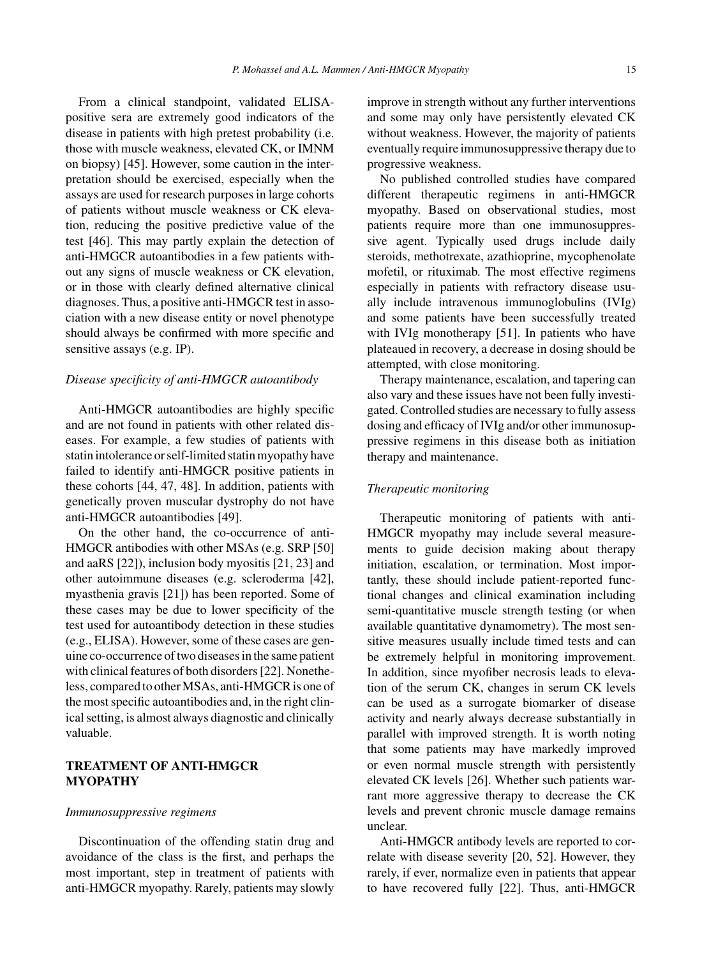From a clinical standpoint, validated ELISApositive sera are extremely good indicators of the disease in patients with high pretest probability (i.e. those with muscle weakness, elevated CK, or IMNM on biopsy) [45]. However, some caution in the interpretation should be exercised, especially when the assays are used for research purposes in large cohorts of patients without muscle weakness or CK elevation, reducing the positive predictive value of the test [46]. This may partly explain the detection of anti-HMGCR autoantibodies in a few patients without any signs of muscle weakness or CK elevation, or in those with clearly defined alternative clinical diagnoses. Thus, a positive anti-HMGCR test in association with a new disease entity or novel phenotype should always be confirmed with more specific and sensitive assays (e.g. IP).

#### *Disease specificity of anti-HMGCR autoantibody*

Anti-HMGCR autoantibodies are highly specific and are not found in patients with other related diseases. For example, a few studies of patients with statin intolerance or self-limited statin myopathy have failed to identify anti-HMGCR positive patients in these cohorts [44, 47, 48]. In addition, patients with genetically proven muscular dystrophy do not have anti-HMGCR autoantibodies [49].

On the other hand, the co-occurrence of anti-HMGCR antibodies with other MSAs (e.g. SRP [50] and aaRS [22]), inclusion body myositis [21, 23] and other autoimmune diseases (e.g. scleroderma [42], myasthenia gravis [21]) has been reported. Some of these cases may be due to lower specificity of the test used for autoantibody detection in these studies (e.g., ELISA). However, some of these cases are genuine co-occurrence of two diseases in the same patient with clinical features of both disorders [22]. Nonetheless, compared to other MSAs, anti-HMGCR is one of the most specific autoantibodies and, in the right clinical setting, is almost always diagnostic and clinically valuable.

# **TREATMENT OF ANTI-HMGCR MYOPATHY**

### *Immunosuppressive regimens*

Discontinuation of the offending statin drug and avoidance of the class is the first, and perhaps the most important, step in treatment of patients with anti-HMGCR myopathy. Rarely, patients may slowly improve in strength without any further interventions and some may only have persistently elevated CK without weakness. However, the majority of patients eventually require immunosuppressive therapy due to progressive weakness.

No published controlled studies have compared different therapeutic regimens in anti-HMGCR myopathy. Based on observational studies, most patients require more than one immunosuppressive agent. Typically used drugs include daily steroids, methotrexate, azathioprine, mycophenolate mofetil, or rituximab. The most effective regimens especially in patients with refractory disease usually include intravenous immunoglobulins (IVIg) and some patients have been successfully treated with IVIg monotherapy [51]. In patients who have plateaued in recovery, a decrease in dosing should be attempted, with close monitoring.

Therapy maintenance, escalation, and tapering can also vary and these issues have not been fully investigated. Controlled studies are necessary to fully assess dosing and efficacy of IVIg and/or other immunosuppressive regimens in this disease both as initiation therapy and maintenance.

# *Therapeutic monitoring*

Therapeutic monitoring of patients with anti-HMGCR myopathy may include several measurements to guide decision making about therapy initiation, escalation, or termination. Most importantly, these should include patient-reported functional changes and clinical examination including semi-quantitative muscle strength testing (or when available quantitative dynamometry). The most sensitive measures usually include timed tests and can be extremely helpful in monitoring improvement. In addition, since myofiber necrosis leads to elevation of the serum CK, changes in serum CK levels can be used as a surrogate biomarker of disease activity and nearly always decrease substantially in parallel with improved strength. It is worth noting that some patients may have markedly improved or even normal muscle strength with persistently elevated CK levels [26]. Whether such patients warrant more aggressive therapy to decrease the CK levels and prevent chronic muscle damage remains unclear.

Anti-HMGCR antibody levels are reported to correlate with disease severity [20, 52]. However, they rarely, if ever, normalize even in patients that appear to have recovered fully [22]. Thus, anti-HMGCR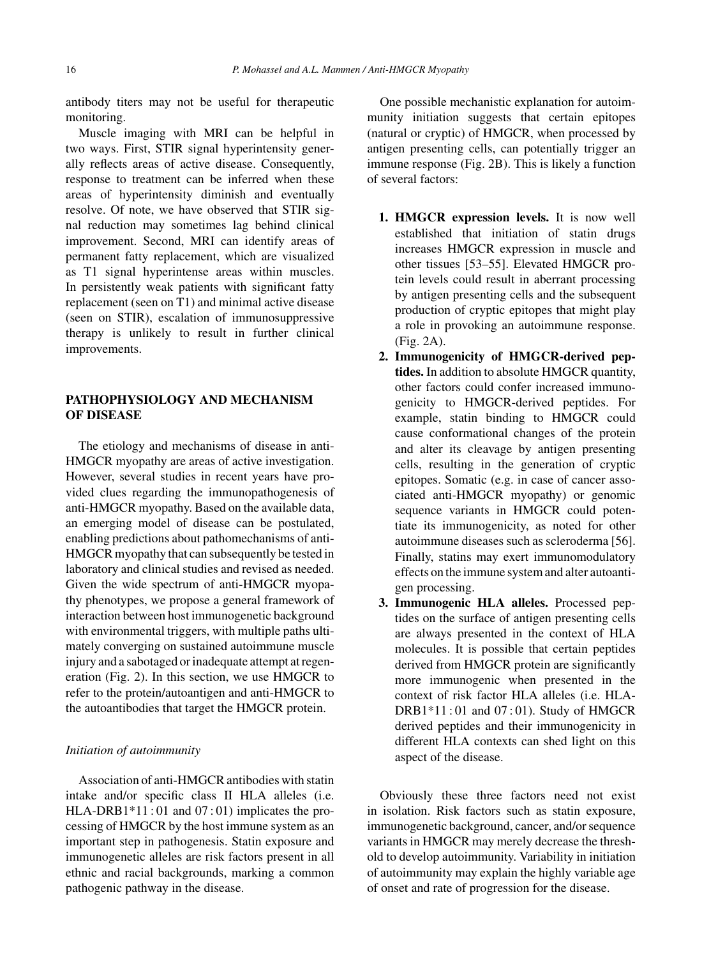antibody titers may not be useful for therapeutic monitoring.

Muscle imaging with MRI can be helpful in two ways. First, STIR signal hyperintensity generally reflects areas of active disease. Consequently, response to treatment can be inferred when these areas of hyperintensity diminish and eventually resolve. Of note, we have observed that STIR signal reduction may sometimes lag behind clinical improvement. Second, MRI can identify areas of permanent fatty replacement, which are visualized as T1 signal hyperintense areas within muscles. In persistently weak patients with significant fatty replacement (seen on T1) and minimal active disease (seen on STIR), escalation of immunosuppressive therapy is unlikely to result in further clinical improvements.

# **PATHOPHYSIOLOGY AND MECHANISM OF DISEASE**

The etiology and mechanisms of disease in anti-HMGCR myopathy are areas of active investigation. However, several studies in recent years have provided clues regarding the immunopathogenesis of anti-HMGCR myopathy. Based on the available data, an emerging model of disease can be postulated, enabling predictions about pathomechanisms of anti-HMGCR myopathy that can subsequently be tested in laboratory and clinical studies and revised as needed. Given the wide spectrum of anti-HMGCR myopathy phenotypes, we propose a general framework of interaction between host immunogenetic background with environmental triggers, with multiple paths ultimately converging on sustained autoimmune muscle injury and a sabotaged or inadequate attempt at regeneration (Fig. 2). In this section, we use HMGCR to refer to the protein/autoantigen and anti-HMGCR to the autoantibodies that target the HMGCR protein.

# *Initiation of autoimmunity*

Association of anti-HMGCR antibodies with statin intake and/or specific class II HLA alleles (i.e. HLA-DRB1\*11:01 and 07:01) implicates the processing of HMGCR by the host immune system as an important step in pathogenesis. Statin exposure and immunogenetic alleles are risk factors present in all ethnic and racial backgrounds, marking a common pathogenic pathway in the disease.

One possible mechanistic explanation for autoimmunity initiation suggests that certain epitopes (natural or cryptic) of HMGCR, when processed by antigen presenting cells, can potentially trigger an immune response (Fig. 2B). This is likely a function of several factors:

- **1. HMGCR expression levels.** It is now well established that initiation of statin drugs increases HMGCR expression in muscle and other tissues [53–55]. Elevated HMGCR protein levels could result in aberrant processing by antigen presenting cells and the subsequent production of cryptic epitopes that might play a role in provoking an autoimmune response. (Fig. 2A).
- **2. Immunogenicity of HMGCR-derived peptides.** In addition to absolute HMGCR quantity, other factors could confer increased immunogenicity to HMGCR-derived peptides. For example, statin binding to HMGCR could cause conformational changes of the protein and alter its cleavage by antigen presenting cells, resulting in the generation of cryptic epitopes. Somatic (e.g. in case of cancer associated anti-HMGCR myopathy) or genomic sequence variants in HMGCR could potentiate its immunogenicity, as noted for other autoimmune diseases such as scleroderma [56]. Finally, statins may exert immunomodulatory effects on the immune system and alter autoantigen processing.
- **3. Immunogenic HLA alleles.** Processed peptides on the surface of antigen presenting cells are always presented in the context of HLA molecules. It is possible that certain peptides derived from HMGCR protein are significantly more immunogenic when presented in the context of risk factor HLA alleles (i.e. HLA-DRB1\*11 : 01 and 07 : 01). Study of HMGCR derived peptides and their immunogenicity in different HLA contexts can shed light on this aspect of the disease.

Obviously these three factors need not exist in isolation. Risk factors such as statin exposure, immunogenetic background, cancer, and/or sequence variants in HMGCR may merely decrease the threshold to develop autoimmunity. Variability in initiation of autoimmunity may explain the highly variable age of onset and rate of progression for the disease.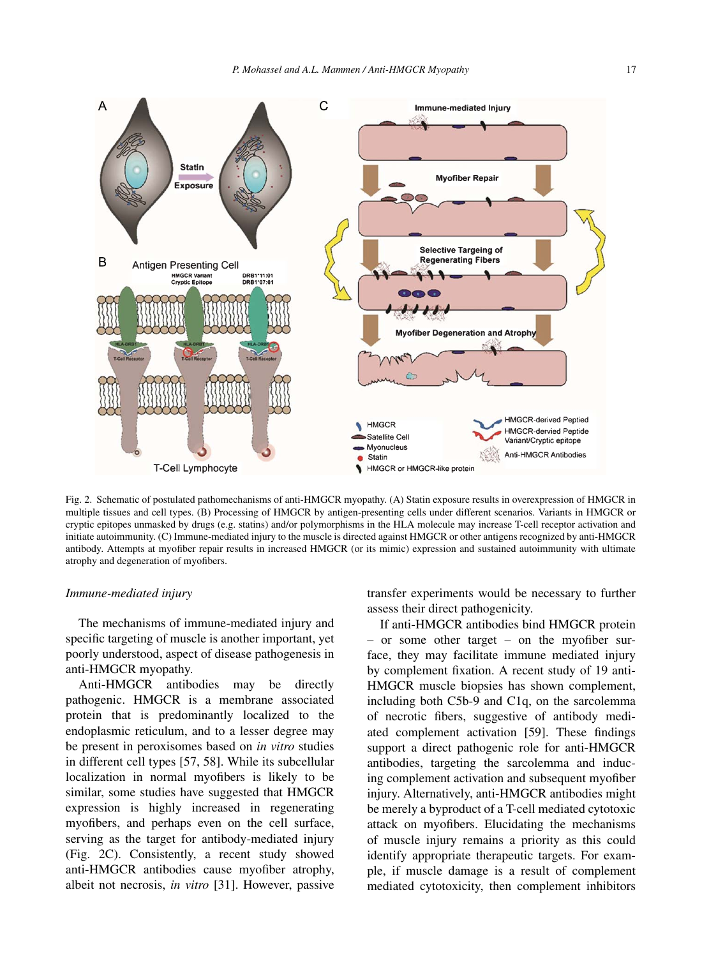

Fig. 2. Schematic of postulated pathomechanisms of anti-HMGCR myopathy. (A) Statin exposure results in overexpression of HMGCR in multiple tissues and cell types. (B) Processing of HMGCR by antigen-presenting cells under different scenarios. Variants in HMGCR or cryptic epitopes unmasked by drugs (e.g. statins) and/or polymorphisms in the HLA molecule may increase T-cell receptor activation and initiate autoimmunity. (C) Immune-mediated injury to the muscle is directed against HMGCR or other antigens recognized by anti-HMGCR antibody. Attempts at myofiber repair results in increased HMGCR (or its mimic) expression and sustained autoimmunity with ultimate atrophy and degeneration of myofibers.

#### *Immune-mediated injury*

The mechanisms of immune-mediated injury and specific targeting of muscle is another important, yet poorly understood, aspect of disease pathogenesis in anti-HMGCR myopathy.

Anti-HMGCR antibodies may be directly pathogenic. HMGCR is a membrane associated protein that is predominantly localized to the endoplasmic reticulum, and to a lesser degree may be present in peroxisomes based on *in vitro* studies in different cell types [57, 58]. While its subcellular localization in normal myofibers is likely to be similar, some studies have suggested that HMGCR expression is highly increased in regenerating myofibers, and perhaps even on the cell surface, serving as the target for antibody-mediated injury (Fig. 2C). Consistently, a recent study showed anti-HMGCR antibodies cause myofiber atrophy, albeit not necrosis, *in vitro* [31]. However, passive

transfer experiments would be necessary to further assess their direct pathogenicity.

If anti-HMGCR antibodies bind HMGCR protein – or some other target – on the myofiber surface, they may facilitate immune mediated injury by complement fixation. A recent study of 19 anti-HMGCR muscle biopsies has shown complement, including both C5b-9 and C1q, on the sarcolemma of necrotic fibers, suggestive of antibody mediated complement activation [59]. These findings support a direct pathogenic role for anti-HMGCR antibodies, targeting the sarcolemma and inducing complement activation and subsequent myofiber injury. Alternatively, anti-HMGCR antibodies might be merely a byproduct of a T-cell mediated cytotoxic attack on myofibers. Elucidating the mechanisms of muscle injury remains a priority as this could identify appropriate therapeutic targets. For example, if muscle damage is a result of complement mediated cytotoxicity, then complement inhibitors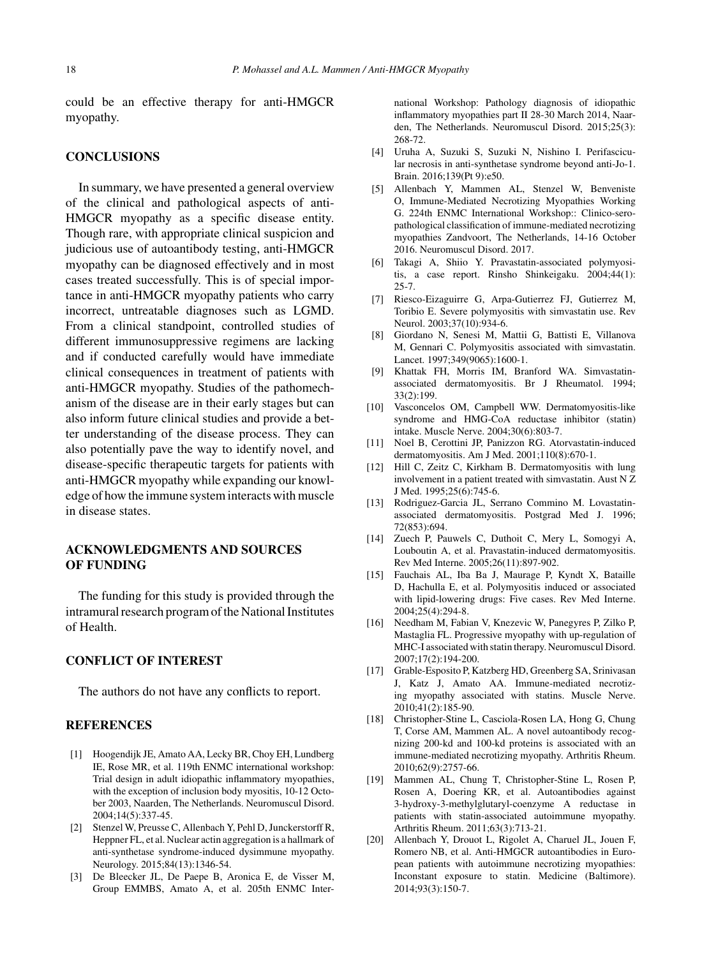could be an effective therapy for anti-HMGCR myopathy.

# **CONCLUSIONS**

In summary, we have presented a general overview of the clinical and pathological aspects of anti-HMGCR myopathy as a specific disease entity. Though rare, with appropriate clinical suspicion and judicious use of autoantibody testing, anti-HMGCR myopathy can be diagnosed effectively and in most cases treated successfully. This is of special importance in anti-HMGCR myopathy patients who carry incorrect, untreatable diagnoses such as LGMD. From a clinical standpoint, controlled studies of different immunosuppressive regimens are lacking and if conducted carefully would have immediate clinical consequences in treatment of patients with anti-HMGCR myopathy. Studies of the pathomechanism of the disease are in their early stages but can also inform future clinical studies and provide a better understanding of the disease process. They can also potentially pave the way to identify novel, and disease-specific therapeutic targets for patients with anti-HMGCR myopathy while expanding our knowledge of how the immune system interacts with muscle in disease states.

# **ACKNOWLEDGMENTS AND SOURCES OF FUNDING**

The funding for this study is provided through the intramural research program of the National Institutes of Health.

# **CONFLICT OF INTEREST**

The authors do not have any conflicts to report.

# **REFERENCES**

- [1] Hoogendijk JE, Amato AA, Lecky BR, Choy EH, Lundberg IE, Rose MR, et al. 119th ENMC international workshop: Trial design in adult idiopathic inflammatory myopathies, with the exception of inclusion body myositis, 10-12 October 2003, Naarden, The Netherlands. Neuromuscul Disord. 2004;14(5):337-45.
- [2] Stenzel W, Preusse C, Allenbach Y, Pehl D, Junckerstorff R, Heppner FL, et al. Nuclear actin aggregation is a hallmark of anti-synthetase syndrome-induced dysimmune myopathy. Neurology. 2015;84(13):1346-54.
- [3] De Bleecker JL, De Paepe B, Aronica E, de Visser M, Group EMMBS, Amato A, et al. 205th ENMC Inter-

national Workshop: Pathology diagnosis of idiopathic inflammatory myopathies part II 28-30 March 2014, Naarden, The Netherlands. Neuromuscul Disord. 2015;25(3): 268-72.

- [4] Uruha A, Suzuki S, Suzuki N, Nishino I. Perifascicular necrosis in anti-synthetase syndrome beyond anti-Jo-1. Brain. 2016;139(Pt 9):e50.
- [5] Allenbach Y, Mammen AL, Stenzel W, Benveniste O, Immune-Mediated Necrotizing Myopathies Working G. 224th ENMC International Workshop:: Clinico-seropathological classification of immune-mediated necrotizing myopathies Zandvoort, The Netherlands, 14-16 October 2016. Neuromuscul Disord. 2017.
- [6] Takagi A, Shiio Y. Pravastatin-associated polymyositis, a case report. Rinsho Shinkeigaku. 2004;44(1): 25-7.
- [7] Riesco-Eizaguirre G, Arpa-Gutierrez FJ, Gutierrez M, Toribio E. Severe polymyositis with simvastatin use. Rev Neurol. 2003;37(10):934-6.
- [8] Giordano N, Senesi M, Mattii G, Battisti E, Villanova M, Gennari C. Polymyositis associated with simvastatin. Lancet. 1997;349(9065):1600-1.
- [9] Khattak FH, Morris IM, Branford WA. Simvastatinassociated dermatomyositis. Br J Rheumatol. 1994; 33(2):199.
- [10] Vasconcelos OM, Campbell WW. Dermatomyositis-like syndrome and HMG-CoA reductase inhibitor (statin) intake. Muscle Nerve. 2004;30(6):803-7.
- [11] Noel B, Cerottini JP, Panizzon RG. Atorvastatin-induced dermatomyositis. Am J Med. 2001;110(8):670-1.
- [12] Hill C, Zeitz C, Kirkham B. Dermatomyositis with lung involvement in a patient treated with simvastatin. Aust N Z J Med. 1995;25(6):745-6.
- [13] Rodriguez-Garcia JL, Serrano Commino M. Lovastatinassociated dermatomyositis. Postgrad Med J. 1996; 72(853):694.
- [14] Zuech P, Pauwels C, Duthoit C, Mery L, Somogyi A, Louboutin A, et al. Pravastatin-induced dermatomyositis. Rev Med Interne. 2005;26(11):897-902.
- [15] Fauchais AL, Iba Ba J, Maurage P, Kyndt X, Bataille D, Hachulla E, et al. Polymyositis induced or associated with lipid-lowering drugs: Five cases. Rev Med Interne. 2004;25(4):294-8.
- [16] Needham M, Fabian V, Knezevic W, Panegyres P, Zilko P, Mastaglia FL. Progressive myopathy with up-regulation of MHC-I associated with statin therapy. Neuromuscul Disord. 2007;17(2):194-200.
- [17] Grable-Esposito P, Katzberg HD, Greenberg SA, Srinivasan J, Katz J, Amato AA. Immune-mediated necrotizing myopathy associated with statins. Muscle Nerve. 2010;41(2):185-90.
- [18] Christopher-Stine L, Casciola-Rosen LA, Hong G, Chung T, Corse AM, Mammen AL. A novel autoantibody recognizing 200-kd and 100-kd proteins is associated with an immune-mediated necrotizing myopathy. Arthritis Rheum. 2010;62(9):2757-66.
- [19] Mammen AL, Chung T, Christopher-Stine L, Rosen P, Rosen A, Doering KR, et al. Autoantibodies against 3-hydroxy-3-methylglutaryl-coenzyme A reductase in patients with statin-associated autoimmune myopathy. Arthritis Rheum. 2011;63(3):713-21.
- [20] Allenbach Y, Drouot L, Rigolet A, Charuel JL, Jouen F, Romero NB, et al. Anti-HMGCR autoantibodies in European patients with autoimmune necrotizing myopathies: Inconstant exposure to statin. Medicine (Baltimore). 2014;93(3):150-7.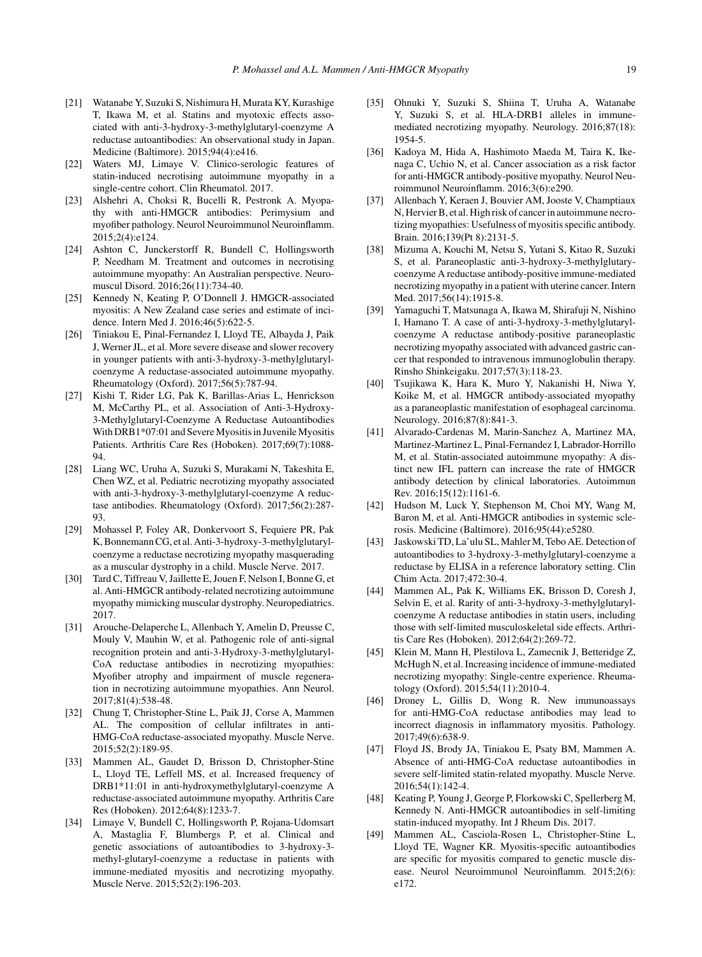- [21] Watanabe Y, Suzuki S, Nishimura H, Murata KY, Kurashige T, Ikawa M, et al. Statins and myotoxic effects associated with anti-3-hydroxy-3-methylglutaryl-coenzyme A reductase autoantibodies: An observational study in Japan. Medicine (Baltimore). 2015;94(4):e416.
- [22] Waters MJ, Limaye V. Clinico-serologic features of statin-induced necrotising autoimmune myopathy in a single-centre cohort. Clin Rheumatol. 2017.
- [23] Alshehri A, Choksi R, Bucelli R, Pestronk A. Myopathy with anti-HMGCR antibodies: Perimysium and myofiber pathology. Neurol Neuroimmunol Neuroinflamm. 2015;2(4):e124.
- [24] Ashton C, Junckerstorff R, Bundell C, Hollingsworth P, Needham M. Treatment and outcomes in necrotising autoimmune myopathy: An Australian perspective. Neuromuscul Disord. 2016;26(11):734-40.
- [25] Kennedy N, Keating P, O'Donnell J. HMGCR-associated myositis: A New Zealand case series and estimate of incidence. Intern Med J. 2016;46(5):622-5.
- [26] Tiniakou E, Pinal-Fernandez I, Lloyd TE, Albayda J, Paik J, Werner JL, et al. More severe disease and slower recovery in younger patients with anti-3-hydroxy-3-methylglutarylcoenzyme A reductase-associated autoimmune myopathy. Rheumatology (Oxford). 2017;56(5):787-94.
- [27] Kishi T, Rider LG, Pak K, Barillas-Arias L, Henrickson M, McCarthy PL, et al. Association of Anti-3-Hydroxy-3-Methylglutaryl-Coenzyme A Reductase Autoantibodies With DRB1\*07:01 and Severe Myositis in Juvenile Myositis Patients. Arthritis Care Res (Hoboken). 2017;69(7):1088- 94.
- [28] Liang WC, Uruha A, Suzuki S, Murakami N, Takeshita E, Chen WZ, et al. Pediatric necrotizing myopathy associated with anti-3-hydroxy-3-methylglutaryl-coenzyme A reductase antibodies. Rheumatology (Oxford). 2017;56(2):287- 93.
- [29] Mohassel P, Foley AR, Donkervoort S, Fequiere PR, Pak K, Bonnemann CG, et al. Anti-3-hydroxy-3-methylglutarylcoenzyme a reductase necrotizing myopathy masquerading as a muscular dystrophy in a child. Muscle Nerve. 2017.
- [30] Tard C, Tiffreau V, Jaillette E, Jouen F, Nelson I, Bonne G, et al. Anti-HMGCR antibody-related necrotizing autoimmune myopathy mimicking muscular dystrophy. Neuropediatrics. 2017.
- [31] Arouche-Delaperche L, Allenbach Y, Amelin D, Preusse C, Mouly V, Mauhin W, et al. Pathogenic role of anti-signal recognition protein and anti-3-Hydroxy-3-methylglutaryl-CoA reductase antibodies in necrotizing myopathies: Myofiber atrophy and impairment of muscle regeneration in necrotizing autoimmune myopathies. Ann Neurol. 2017;81(4):538-48.
- [32] Chung T, Christopher-Stine L, Paik JJ, Corse A, Mammen AL. The composition of cellular infiltrates in anti-HMG-CoA reductase-associated myopathy. Muscle Nerve. 2015;52(2):189-95.
- [33] Mammen AL, Gaudet D, Brisson D, Christopher-Stine L, Lloyd TE, Leffell MS, et al. Increased frequency of DRB1\*11:01 in anti-hydroxymethylglutaryl-coenzyme A reductase-associated autoimmune myopathy. Arthritis Care Res (Hoboken). 2012;64(8):1233-7.
- [34] Limaye V, Bundell C, Hollingsworth P, Rojana-Udomsart A, Mastaglia F, Blumbergs P, et al. Clinical and genetic associations of autoantibodies to 3-hydroxy-3 methyl-glutaryl-coenzyme a reductase in patients with immune-mediated myositis and necrotizing myopathy. Muscle Nerve. 2015;52(2):196-203.
- [35] Ohnuki Y, Suzuki S, Shiina T, Uruha A, Watanabe Y, Suzuki S, et al. HLA-DRB1 alleles in immunemediated necrotizing myopathy. Neurology. 2016;87(18): 1954-5.
- [36] Kadoya M, Hida A, Hashimoto Maeda M, Taira K, Ikenaga C, Uchio N, et al. Cancer association as a risk factor for anti-HMGCR antibody-positive myopathy. Neurol Neuroimmunol Neuroinflamm. 2016;3(6):e290.
- Allenbach Y, Keraen J, Bouvier AM, Jooste V, Champtiaux N, Hervier B, et al. High risk of cancer in autoimmune necrotizing myopathies: Usefulness of myositis specific antibody. Brain. 2016;139(Pt 8):2131-5.
- [38] Mizuma A, Kouchi M, Netsu S, Yutani S, Kitao R, Suzuki S, et al. Paraneoplastic anti-3-hydroxy-3-methylglutarycoenzyme A reductase antibody-positive immune-mediated necrotizing myopathy in a patient with uterine cancer. Intern Med. 2017;56(14):1915-8.
- [39] Yamaguchi T, Matsunaga A, Ikawa M, Shirafuji N, Nishino I, Hamano T. A case of anti-3-hydroxy-3-methylglutarylcoenzyme A reductase antibody-positive paraneoplastic necrotizing myopathy associated with advanced gastric cancer that responded to intravenous immunoglobulin therapy. Rinsho Shinkeigaku. 2017;57(3):118-23.
- [40] Tsujikawa K, Hara K, Muro Y, Nakanishi H, Niwa Y, Koike M, et al. HMGCR antibody-associated myopathy as a paraneoplastic manifestation of esophageal carcinoma. Neurology. 2016;87(8):841-3.
- [41] Alvarado-Cardenas M, Marin-Sanchez A, Martinez MA, Martinez-Martinez L, Pinal-Fernandez I, Labrador-Horrillo M, et al. Statin-associated autoimmune myopathy: A distinct new IFL pattern can increase the rate of HMGCR antibody detection by clinical laboratories. Autoimmun Rev. 2016;15(12):1161-6.
- [42] Hudson M, Luck Y, Stephenson M, Choi MY, Wang M, Baron M, et al. Anti-HMGCR antibodies in systemic sclerosis. Medicine (Baltimore). 2016;95(44):e5280.
- [43] Jaskowski TD, La'ulu SL, Mahler M, Tebo AE. Detection of autoantibodies to 3-hydroxy-3-methylglutaryl-coenzyme a reductase by ELISA in a reference laboratory setting. Clin Chim Acta. 2017;472:30-4.
- [44] Mammen AL, Pak K, Williams EK, Brisson D, Coresh J, Selvin E, et al. Rarity of anti-3-hydroxy-3-methylglutarylcoenzyme A reductase antibodies in statin users, including those with self-limited musculoskeletal side effects. Arthritis Care Res (Hoboken). 2012;64(2):269-72.
- [45] Klein M, Mann H, Plestilova L, Zamecnik J, Betteridge Z, McHugh N, et al. Increasing incidence of immune-mediated necrotizing myopathy: Single-centre experience. Rheumatology (Oxford). 2015;54(11):2010-4.
- [46] Droney L, Gillis D, Wong R. New immunoassays for anti-HMG-CoA reductase antibodies may lead to incorrect diagnosis in inflammatory myositis. Pathology. 2017;49(6):638-9.
- [47] Floyd JS, Brody JA, Tiniakou E, Psaty BM, Mammen A. Absence of anti-HMG-CoA reductase autoantibodies in severe self-limited statin-related myopathy. Muscle Nerve. 2016;54(1):142-4.
- [48] Keating P, Young J, George P, Florkowski C, Spellerberg M, Kennedy N. Anti-HMGCR autoantibodies in self-limiting statin-induced myopathy. Int J Rheum Dis. 2017.
- [49] Mammen AL, Casciola-Rosen L, Christopher-Stine L, Lloyd TE, Wagner KR. Myositis-specific autoantibodies are specific for myositis compared to genetic muscle disease. Neurol Neuroimmunol Neuroinflamm. 2015;2(6): e172.